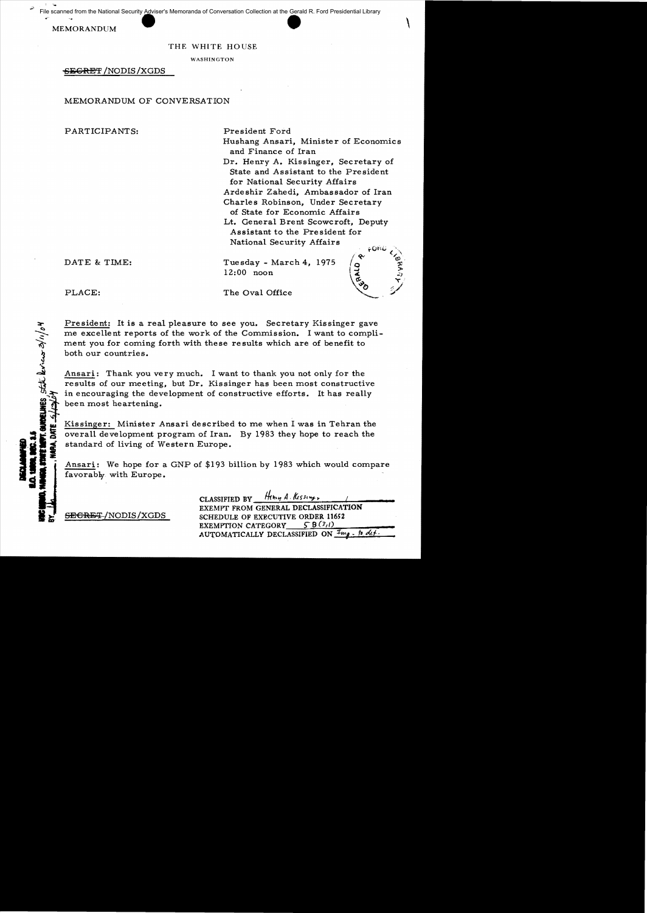File scanned from the National Security Adviser's Memoranda of Conversation Collection at the Gerald R. Ford Presidential Library

MEMORANDUM

#### THE WHITE HOUSE

WASHINGTON

-SECRET /NODIS /XGDS

#### MEMORANDUM OF CONVERSATION

PARTICIPANTS: President Ford

Hushang Ansari, Minister of Economics and Finance of Iran

Dr. Henry A. Kissinger, Secretary of State and Assistant to the President for National Security Affairs Ardeshir Zahedi, Ambassador of Iran

Charles Robinson, Under Secretary of State for Economic Affairs

Lt. General Brent Scowcroft, Deputy Assistant to the President for National Security Affairs

DATE & TIME: Tuesday - March 4, 1975 12:00 noon

PLACE: The Oval Office

President: It is a real pleasure to see you. Secretary Kissinger gave me excellent reports of the work of the Commission. I want to compliment you for coming forth with these results which are of benefit to both our countries.

Ansari: Thank you very much. I want to thank you not only for the results of our meeting, but Dr. Kissinger has been most constructive in encouraging the development of constructive efforts. It has really been most heartening.

Kissinger: Minister Ansari described to me when I was in Tehran the overall deve lopment program of Iran. By 1983 they hope to reach the standard of living of Western Europe.

Ansari: We hope for a GNP of \$193 billion by 1983 which would compare favorably with Europe.

CLASSIFIED BY  $\frac{H_{\text{H}}}{4}$ . Kessing. EXEMPT FROM GENERAL DECLASSIFICATION SECRET/NODIS/XGDS SCHEDULE OF EXECUTIVE ORDER 11652 EXEMPTION CATEGORY  $5.9(3,1)$  $\Lambda$ UTOMATICALLY DECLASSIFIED ON  $\frac{m_g}{\Lambda}$   $\frac{h}{\Lambda}$  dLt.

**ORLANES**  $Stk$  becaus  $3/n/b$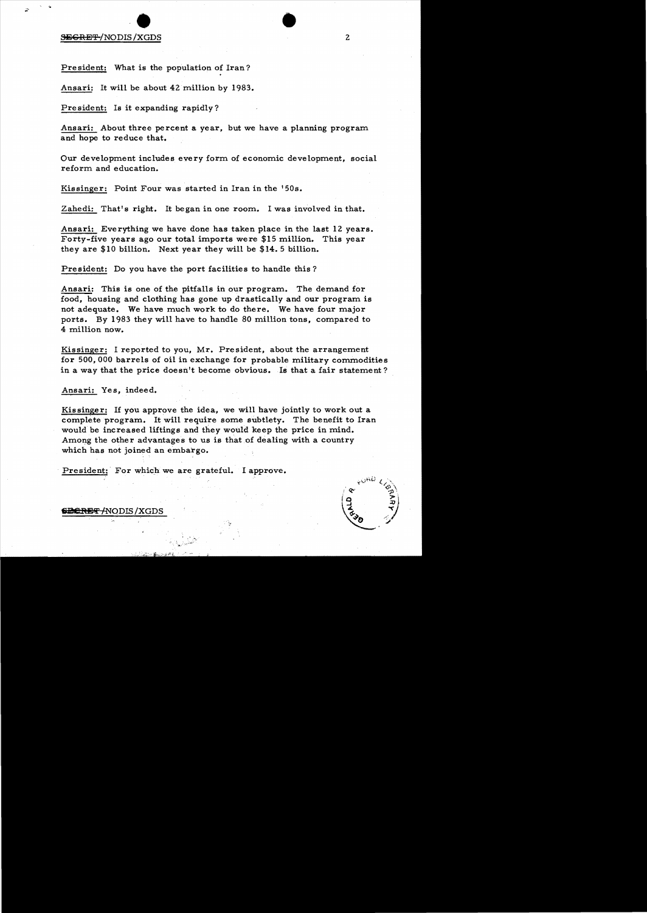# SiIi5CRE'r {NODIS /XGDS • • <sup>2</sup>

President: What is the population of Iran?

Ansari: It will be about 42 million by 1983.

President: Is it expanding rapidly?

Ansari: About three percent a year, but we have a planning program and hope to reduce that.

Our development includes every form of economic development, social reform and education.

Kissinger: Point Four was started in Iran in the '50s.

Zahedi: That's right. It began in one room. I was involved in that.

Ansari: Everything we have done has taken place in the last 12 years. Forty-five years ago our total imports were \$15 million. This year they are \$10 billion. Next year they will be \$14.5 billion.

President: Do you have the port facilities to handle this?

Ansari: This is one of the pitfalls in our program. The demand for food, housing and clothing has gone up drastically and our program is not adequate. We have much work to do there. We have four major ports. By 1983 they will have to handle 80 million tons, compared to 4 million now.

Kissinger: I reported to you, Mr. President, about the arrangement for 500,000 barrels of oil in exchange for probable military commodities in a way that the price doesn't become obvious. Is that a fair statement?

Ansari: Yes, indeed.

Kissinger: If you approve the idea, we will have jointly to work out a complete program. It will require some subtlety. The benefit to Iran would be increased liftings and they would keep the price in mind. Among the other advantages to us is that of dealing with a country which has not joined an embargo.

. President: For which we are grateful. I approve.



<del>SECRET /</del>NODIS /XGDS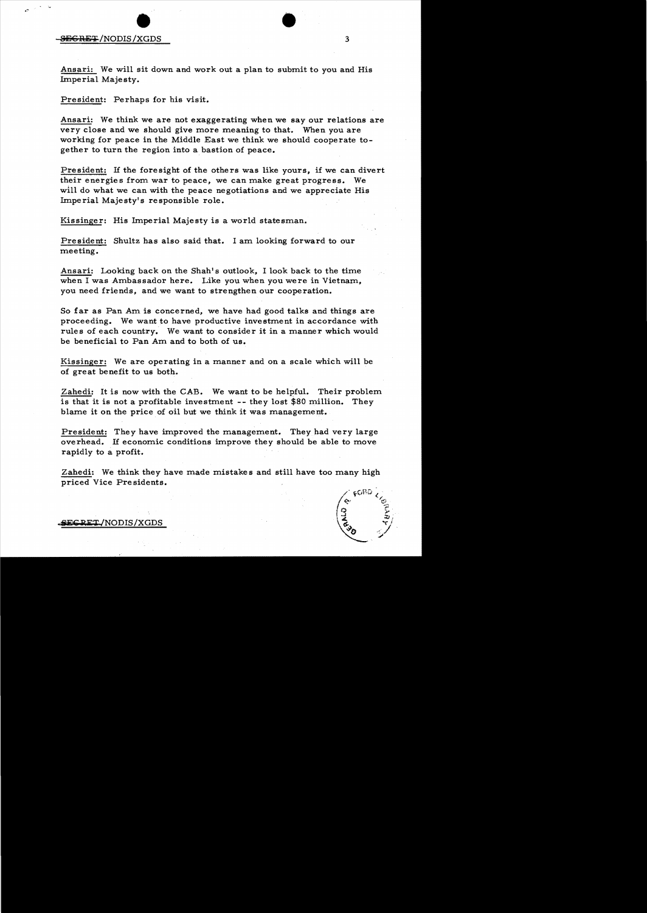# SEC ORE:;: /NODIS /XGDS • • <sup>3</sup>

Ansari: We will sit down and work out a plan to submit to you and His Imperial Majesty.

President: Perhaps for his visit.

Ansari: We think we are not exaggerating when we say our relations are very close and we should give more meaning to that. When you are working for peace in the Middle East we think we should cooperate together to turn the region into a bastion of peace.

President: If the foresight of the others was like yours, if we can divert their energies from war to peace, we can make great progress. We will do what we can with the peace negotiations and we appreciate His Imperial Majesty's responsible role.

Kissinger: His Imperial Majesty is a world statesman.

President: Shultz has also said that. I am looking forward to our meeting.

Ansari: Looking back on the Shah's outlook, I look back to the time when I was Ambassador here. Like you when you were in Vietnam, you need friends, and we want to strengthen our cooperation.

So far as Pan Am is concerned, we have had good talks and things are proceeding. We want to have productive investment in accordance with rules of each country. We want to consider it in a manner which would be beneficial to Pan Am and to both of us.

Kissinger: We are operating in a manner and on a scale which will be of great benefit to us both.

Zahedi: It is now with the CAB. We want to be helpful. Their problem is that it is not a profitable investment -- they lost \$80 million. They blame it on the price of oil but we think it was management.

President: They have improved the management. They had very large overhead. If economic conditions improve they should be able to move rapidly to a profit.

Zahedi: We think they have made mistake s and still have too many high priced Vice Pre sidents.



**RET/NODIS/XGDS**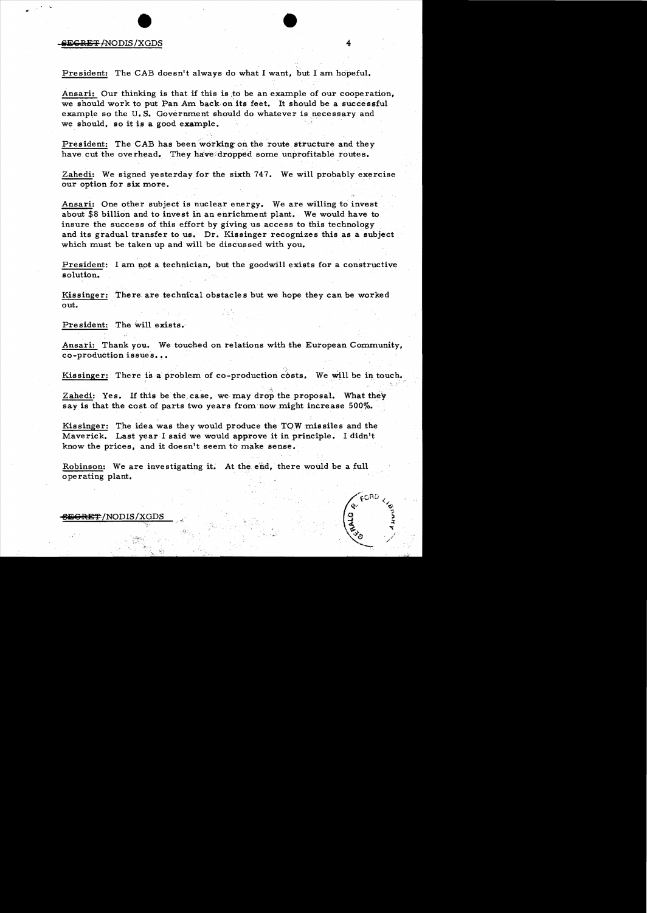## **iii€RE':F** mODIS /XGDS • <sup>4</sup>

President: The CAB doesn't always do what I want, but I am hopeful.

Ansari: Our thinking is that if this is ;to be an example of our cooperation, we should work to put Pan Am back on its feet. It should be a successful example so the U.S. Government should do whatever is necessary and we should, so it is a good example.

President: The CAB has been working on the route structure and they have cut the overhead. They have dropped some unprofitable routes.

Zahedi: We signed yesterday for the sixth 747. We will probably exercise our option for six more.

Ansari: One other subject is nuclear energy. We are willing to invest about \$8 billion and to invest in an enrichment plant. We would have to insure the success of this effort by giving us access to this technology and its gradual transfer to us. Dr. Kissinger recognizes this as a subject which must be taken up and will be discussed with you.

President: I am not a technician, but the goodwill exists for a constructive solution.

Kissinger: There are technical obstacles but we hope they can be worked out.

President: The will exists.

Ansari: Thank you. We touched on relations with the European Community, co-production issues... We touched on relations with the European Communis...<br> $\mathbf{B} \cdot \mathbf{B}$ .<br> $\mathbf{A} \cdot \mathbf{B}$  a problem of co-production costs. We will be in touch is be the case, we may drop the proposal. What they<br>of parts two years from no

Kissinger: There is a problem of co-production costs. We will be in touch.

Zahedi: Yes. If this be the. case, we may drop the proposal. What they say is that the cost of parts two years from now might increase 500%.

Kissinger: The idea was they would produce the TOW missiles and the Maverick. Last year I said we would approve it in principle. I didn't know the prices, and it doesn't seem to make sense.

Robinson: We are investigating it. At the end, there would be a full operating plant.

<del>}EGRET</del>/NODIS/XGDS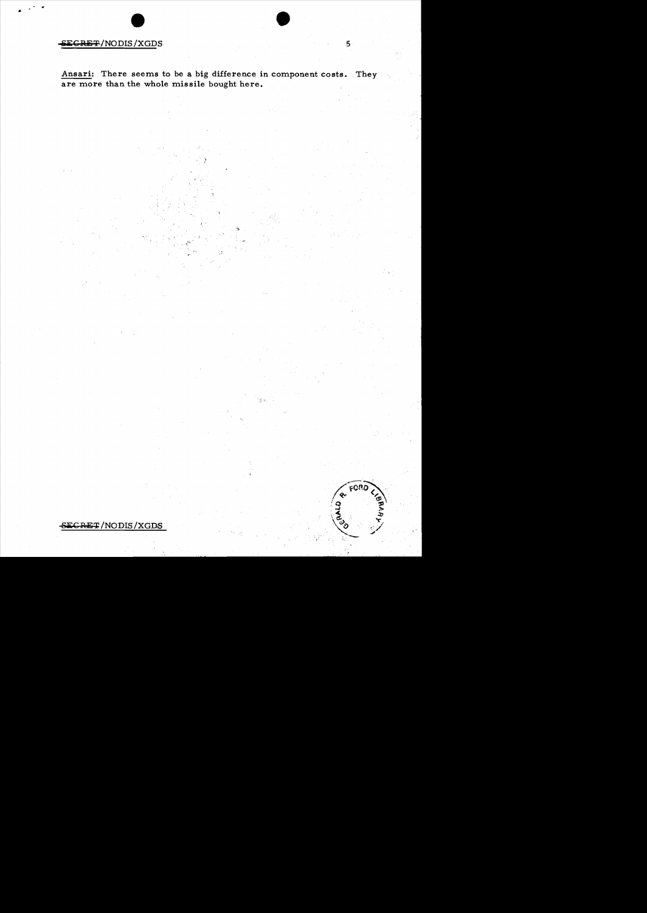### **ECRET/NODIS/XGDS**

Ansari: There seems to be a big difference in component costs. They are more than the whole missile bought here.

5

FORC

### SECRET/NODIS/XGDS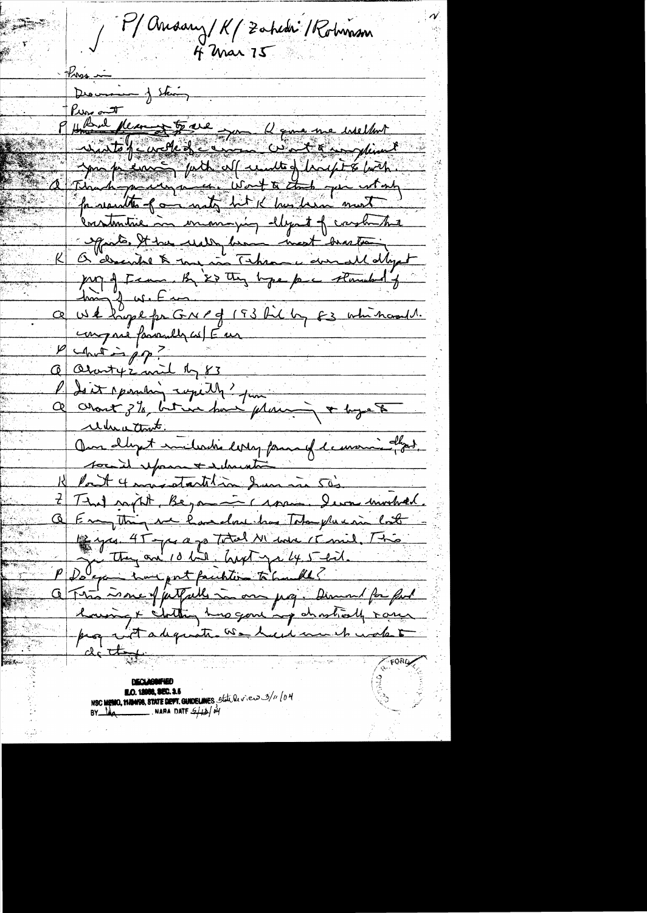Mansany/K/Zahedri/Rohmson  $4$  Mar  $75$ Pression Descrie je Stain Pure out Kun aut Neum 5 ave Jan 12 cm me inselant make euro publicat centre d'houst é bort. for results of a not bet it has heard most Constantine in enoughly ellegant of carshite K & decide & my in Them was developed<br>K & decide & my in Them is deviated to<br>for a transfer on 1 of 193 fil by E3 which only it<br>and I win for a 193 fil by E3 which and the<br>contribution to the form of 193 fill by E3 which a 12 Pont 4 mars startelin Sum in 50's That north, Beyannic came - I was involved. Empthing we have close that Take plus in lost  $\textcolor{red}{\textcircled{\texttt{S}}}\textcolor{red}{\textcircled{\texttt{R}}}$ 14 year 45 years Total M'ave / Caril, This PDS exemploient printer à la met et de la fonde de la fonde de la fonde de la fonde de la fonde de la fonde de Q Tron me of just alle in our jusq. Dimend for ful howing & chitting has gone ing chartiesly rare pag with adequate we had much water de that **CORD AND AND RESIDENCE ON A PROPERTY DECLASSIFUE** 

**E.O. 12988, SEC. 3.5** NSC MENIO, MANISS, STATE DEPT. GUIDELINES State De view 3/11/04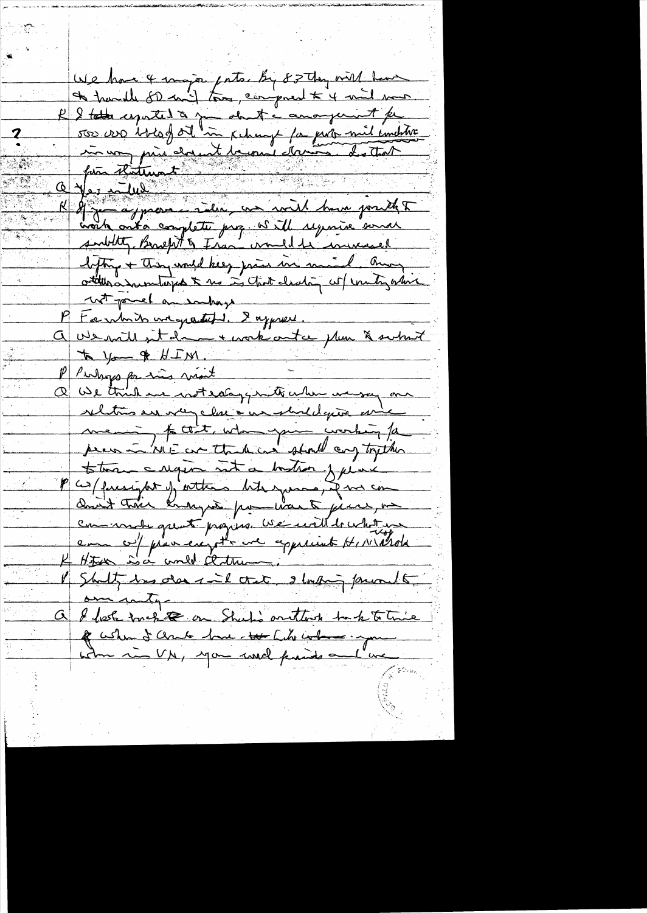We have 4 major pater by 82 thy will have R & total espated to you about a canonymint for subtity Bruefit & Fran crould be increased. lefting + They would keep jurie in mind. Burg others mentions & us in that clearly will untigative wit powel an embays to which we gratuff. I apprent. a vente sit dans l'articula plus à subsit to you & HIM. PP Purhops par sins most Q We think we with along with when we say one relations are very close a un should quon arise mening fact, who you working for totor cagin int a boston fune P cos/facery for j attend hits gomes, if we con Don't trois knowynt pour was to joint, on comment quest progress we will bushit un emme co/ provincia pt une approvent HIVIArda Hotel Soc und centre V Shalt, has dans il cret estudio privato om inty a l'hoste touchet on Shutis arthur tak to trie<br>le colum d'Ande toue tour City colon imprime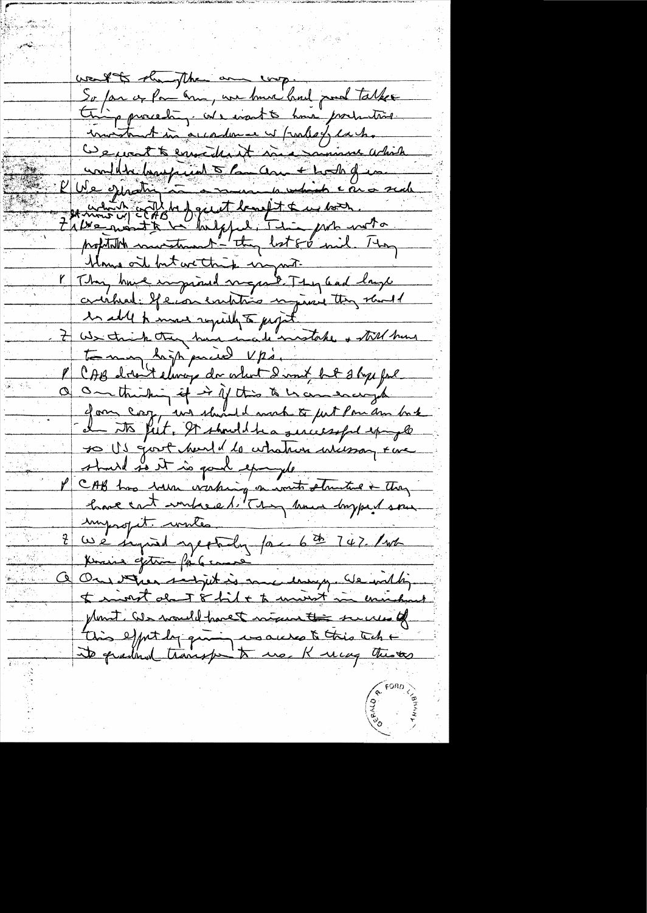work to should and wop. So far or Par ann, un bonne had pour talker pproceding we want to have production imitant in accordance of further cacho De part te enverthant ma mommer which unille bayant de Comme Lodigne et which state of de the fourth the with. Klows oit but we think ingrate K They have impired mayor I They and lays certified: If ever existing injurie they should Westwick they have included take + till hun CAB don't elivere da colort dannt but stop fal On thinking if it if this to be concerned  $\overline{\alpha}$ gan coop, un should make to just Pou am back de to feet. It should be a seriessful epingle so US gout head de cohation incessar eux should so it is good epocyte P CAB has been victing en vout structure + they imporopit. writes ingeroper. une Knis gettin far came On the script is me hongy de ville  $\overline{\mathcal{Y}}$ to minut about 8 hid + to universit minutes plant. We would have t night to secure of this effect by quing us access to this tech + its qualities transfer to use K way thistes